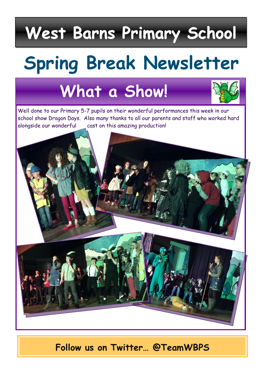# **West Barns Primary School**

# **Spring Break Newsletter**

## **What a Show!**



Well done to our Primary 5-7 pupils on their wonderful performances this week in our school show Dragon Days. Also many thanks to all our parents and staff who worked hard alongside our wonderful cast on this amazing production!



**Follow us on Twitter… @TeamWBPS**